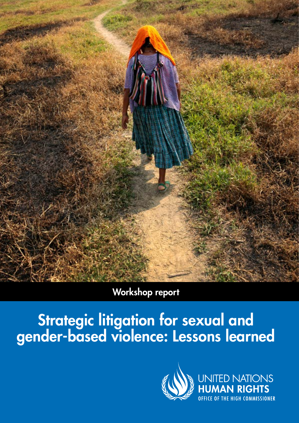

### Workshop report

## Strategic litigation for sexual and gender-based violence: Lessons learned

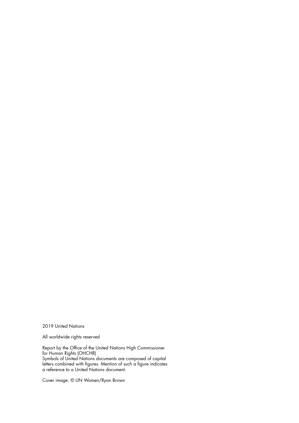2019 United Nations

All worldwide rights reserved

Report by the Office of the United Nations High Commissioner for Human Rights (OHCHR) Symbols of United Nations documents are composed of capital letters combined with figures. Mention of such a figure indicates a reference to a United Nations document.

Cover image: © UN Women/Ryan Brown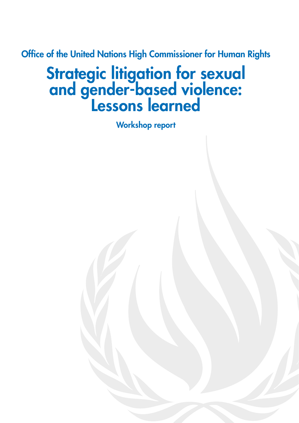Office of the United Nations High Commissioner for Human Rights

# **Strategic litigation for sexual** and gender-based violence: Lessons learned

Workshop report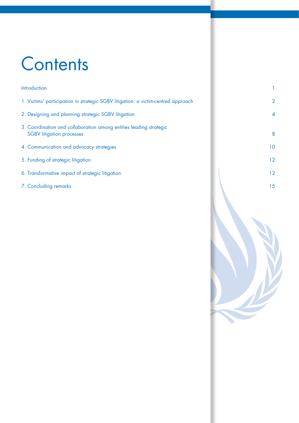# **Contents**

| 1. Victims' participation in strategic SGBV litigation: a victim-centred approach                      | $\overline{2}$ |
|--------------------------------------------------------------------------------------------------------|----------------|
| 2. Designing and planning strategic SGBV litigation                                                    | $\overline{4}$ |
| 3. Coordination and collaboration among entities leading strategic<br><b>SGBV</b> litigation processes | 8              |
| 4. Communication and advocacy strategies                                                               | 10             |
| 5. Funding of strategic litigation                                                                     | 12             |
| 6. Transformative impact of strategic litigation                                                       | 12             |
| 7. Concluding remarks                                                                                  | 15             |

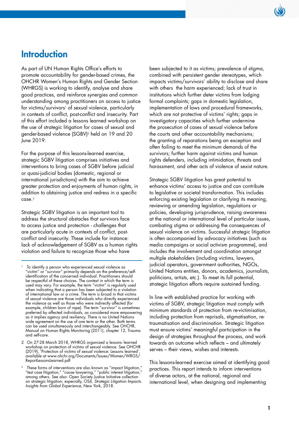### **Introduction**

As part of UN Human Rights Office's efforts to promote accountability for gender-based crimes, the OHCHR Women's Human Rights and Gender Section (WHRGS) is working to identify, analyse and share good practices, and reinforce synergies and common understanding among practitioners on access to justice for victims/survivors<sup>1</sup> of sexual violence, particularly in contexts of conflict, post-conflict and insecurity. Part of this effort included a lessons learned workshop on the use of strategic litigation for cases of sexual and gender-based violence (SGBV)2 held on 19 and 20 June 2019.

For the purpose of this lessons-learned exercise, strategic SGBV litigation comprises initiatives and interventions to bring cases of SGBV before judicial or quasi-judicial bodies (domestic, regional or international jurisdictions) with the aim to achieve greater protection and enjoyments of human rights, in addition to obtaining justice and redress in a specific case.3

Strategic SGBV litigation is an important tool to address the structural obstacles that survivors face to access justice and protection - challenges that are particularly acute in contexts of conflict, postconflict and insecurity. These include for instance: lack of acknowledgement of SGBV as a human rights violation and failure to recognize those who have

been subjected to it as victims; prevalence of stigma, combined with persistent gender stereotypes, which impacts victims/survivors' ability to disclose and share with others the harm experienced; lack of trust in institutions which further deter victims from lodging formal complaints; gaps in domestic legislation, implementation of laws and procedural frameworks, which are not protective of victims' rights; gaps in investigatory capacities which further undermine the prosecution of cases of sexual violence before the courts and other accountability mechanisms; the granting of reparations being an exception and often failing to meet the minimum demands of the survivors; further harm against victims and human rights defenders, including intimidation, threats and harassment, and other acts of violence of sexist nature.

Strategic SGBV litigation has great potential to enhance victims' access to justice and can contribute to legislative or societal transformation. This includes enforcing existing legislation or clarifying its meaning, reviewing or amending legislation, regulations or policies, developing jurisprudence, raising awareness at the national or international level of particular issues, combating stigma or addressing the consequences of sexual violence on victims. Successful strategic litigation is often accompanied by advocacy initiatives (such as media campaigns or social activism programme), and includes the involvement and coordination amongst multiple stakeholders (including victims, lawyers, judicial operators, government authorities, NGOs, United Nations entities, donors, academics, journalists, politicians, artists, etc.). To meet its full potential, strategic litigation efforts require sustained funding.

In line with established practice for working with victims of SGBV, strategic litigation must comply with minimum standards of protection from re-victimisation, including protection from reprisals, stigmatisation, retraumatisation and discrimination. Strategic litigation must ensure victims' meaningful participation in the design of strategies throughout the process, and work towards an outcome which reflects – and ultimately serves – their views, wishes and interests.

This lessons-learned exercise aimed at identifying good practices. This report intends to inform interventions of diverse actors, at the national, regional and international level, when designing and implementing

To identify a person who experienced sexual violence as "victim" or "survivor" primarily depends on the preference/selfidentification of the concerned individual. Practitioners should be respectful of these choices. The context in which the term is used may vary. For example, the term "victim" is regularly used when indicating that a person has been subjected to a violation of international law or a crime. The term is broad in that victims of sexual violence are those individuals who directly experienced the violence as well as those who were indirectly affected (for example, children born of rape). The term "survivor" is sometimes preferred by affected individuals, as considered more empowering as it implies agency and resiliency. There is no United Nations wide agreement on the use of one term or the other. Both terms can be used simultaneously and interchangeably. See OHCHR, Manual on Human Rights Monitoring (2011), [chapter 12, Trauma](https://www.ohchr.org/Documents/Publications/Chapter12-MHRM.pdf)  [and self-care](https://www.ohchr.org/Documents/Publications/Chapter12-MHRM.pdf).

[<sup>2</sup> On 27-28 March 2018, WHRGS organized a lessons- learned](https://www.ohchr.org/Documents/Issues/Women/WRGS/ReportLessonsLearned.pdf)  [workshop on protection of victims of sexual violence. See OHCHR](https://www.ohchr.org/Documents/Issues/Women/WRGS/ReportLessonsLearned.pdf)  [\(2019\), 'Protection of victims of sexual violence: Lessons learned',](https://www.ohchr.org/Documents/Issues/Women/WRGS/ReportLessonsLearned.pdf)  [available at www.ohchr.org/Documents/Issues/Women/WRGS/](https://www.ohchr.org/Documents/Issues/Women/WRGS/ReportLessonsLearned.pdf) [ReportLessonsLearned.pdf](https://www.ohchr.org/Documents/Issues/Women/WRGS/ReportLessonsLearned.pdf)

 $^3$  These forms of interventions are also known as "impact litigation," "test case litigation," "cause lawyering," "public interest litigation," among others. See also: Open Society Justice Initiative collection on strategic litigation; especially, OSJI, *Strategic Litigation Impacts. Insights from Global Experience,* New York, 2018.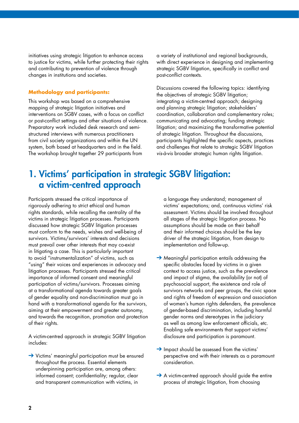initiatives using strategic litigation to enhance access to justice for victims, while further protecting their rights and contributing to prevention of violence through changes in institutions and societies.

### **Methodology and participants:**

This workshop was based on a comprehensive mapping of strategic litigation initiatives and interventions on SGBV cases, with a focus on conflict or post-conflict settings and other situations of violence. Preparatory work included desk research and semistructured interviews with numerous practitioners from civil society organizations and within the UN system, both based at headquarters and in the field. The workshop brought together 29 participants from

a variety of institutional and regional backgrounds, with direct experience in designing and implementing strategic SGBV litigation, specifically in conflict and post-conflict contexts.

Discussions covered the following topics: identifying the objectives of strategic SGBV litigation; integrating a victim-centred approach; designing and planning strategic litigation; stakeholders' coordination, collaboration and complementary roles; communicating and advocating; funding strategic litigation; and maximizing the transformative potential of strategic litigation. Throughout the discussions, participants highlighted the specific aspects, practices and challenges that relate to strategic SGBV litigation *vis-à-vis* broader strategic human rights litigation.

### 1. Victims' participation in strategic SGBV litigation: a victim-centred approach

Participants stressed the critical importance of rigorously adhering to strict ethical and human rights standards, while recalling the centrality of the victims in strategic litigation processes. Participants discussed how strategic SGBV litigation processes must conform to the needs, wishes and well-being of survivors. Victims/survivors' interests and decisions must prevail over other interests that may co-exist in litigating a case. This is particularly important to avoid "instrumentalization" of victims, such as "using" their voices and experiences in advocacy and litigation processes. Participants stressed the critical importance of informed consent and meaningful participation of victims/survivors. Processes aiming at a transformational agenda towards greater goals of gender equality and non-discrimination must go in hand with a transformational agenda for the survivors, aiming at their empowerment and greater autonomy, and towards the recognition, promotion and protection of their rights.

A victim-centred approach in strategic SGBV litigation includes:

→ Victims' meaningful participation must be ensured throughout the process. Essential elements underpinning participation are, among others: informed consent; confidentiality; regular, clear and transparent communication with victims, in

a language they understand; management of victims' expectations; and, continuous victims' risk assessment. Victims should be involved throughout all stages of the strategic litigation process. No assumptions should be made on their behalf and their informed choices should be the key driver of the strategic litigation, from design to implementation and follow-up.

- $\rightarrow$  Meaningful participation entails addressing the specific obstacles faced by victims in a given context to access justice, such as the prevalence and impact of stigma, the availability (or not) of psychosocial support, the existence and role of survivors networks and peer groups, the civic space and rights of freedom of expression and association of women's human rights defenders, the prevalence of gender-based discrimination, including harmful gender norms and stereotypes in the judiciary as well as among law enforcement officials, etc. Enabling safe environments that support victims' disclosure and participation is paramount.
- ➔ Impact should be assessed from the victims' perspective and with their interests as a paramount consideration.
- **→** A victim-centred approach should guide the entire process of strategic litigation, from choosing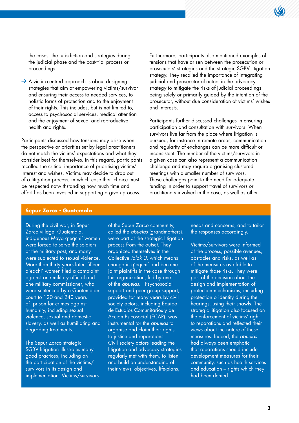the cases, the jurisdiction and strategies during the judicial phase and the post-trial process or proceedings.

**→** A victim-centred approach is about designing strategies that aim at empowering victims/survivor and ensuring their access to needed services, to holistic forms of protection and to the enjoyment of their rights. This includes, but is not limited to, access to psychosocial services, medical attention and the enjoyment of sexual and reproductive health and rights.

Participants discussed how tensions may arise when the perspective or priorities set by legal practitioners do not match the victims' expectations and what they consider best for themselves. In this regard, participants recalled the critical importance of prioritising victims' interest and wishes. Victims may decide to drop out of a litigation process, in which case their choice must be respected notwithstanding how much time and effort has been invested in supporting a given process.

Furthermore, participants also mentioned examples of tensions that have arisen between the prosecution or prosecutors' strategies and the strategic SGBV litigation strategy. They recalled the importance of integrating judicial and prosecutorial actors in the advocacy strategy to mitigate the risks of judicial proceedings being solely or primarily guided by the intention of the prosecutor, without due consideration of victims' wishes and interests.

Participants further discussed challenges in ensuring participation and consultation with survivors. When survivors live far from the place where litigation is pursued, for instance in remote areas, communication and regularity of exchanges can be more difficult or inconsistent. The number of the victims/survivors in a given case can also represent a communication challenge and may require organising clustered meetings with a smaller number of survivors. These challenges point to the need for adequate funding in order to support travel of survivors or practitioners involved in the case, as well as other

### **Sepur Zarco - Guatemala**

During the civil war, in Sepur Zarco village, Guatemala, indigenous Maya q'eqchi' women were forced to serve the soldiers of the military post, and many were subjected to sexual violence. More than thirty years later, fifteen q'eqchi' women filed a complaint against one military official and one military commissioner, who were sentenced by a Guatemalan court to 120 and 240 years of prison for crimes against humanity, including sexual violence, sexual and domestic slavery, as well as humiliating and degrading treatments.

The Sepur Zarco strategic SGBV litigation illustrates many good practices, including on the participation of the victims/ survivors in its design and implementation. Victims/survivors of the Sepur Zarco community, called the *abuelas* (grandmothers), were part of the strategic litigation process from the outset. They organized themselves in the Collective *Jalok U*, which means change in q'eqchi' and became joint plaintiffs in the case through this organization, led by one of the *abuelas*. Psychosocial support and peer group support, provided for many years by civil society actors, including Equipo de Estudios Comunitarios y de Acción Psicosocial (ECAP), was instrumental for the *abuelas* to organise and claim their rights to justice and reparations. Civil society actors leading the litigation and advocacy strategies regularly met with them, to listen and build an understanding of their views, objectives, life-plans,

needs and concerns, and to tailor the responses accordingly.

Victims/survivors were informed of the process, possible avenues, obstacles and risks, as well as of the measures available to mitigate those risks. They were part of the decision about the design and implementation of protection mechanisms, including protection o identity during the hearings, using their shawls. The strategic litigation also focused on the enforcement of victims' right to reparations and reflected their views about the nature of these measures. Indeed, the *abuelas* had always been emphatic that reparations should include development measures for their community, such as health services and education – rights which they had been denied.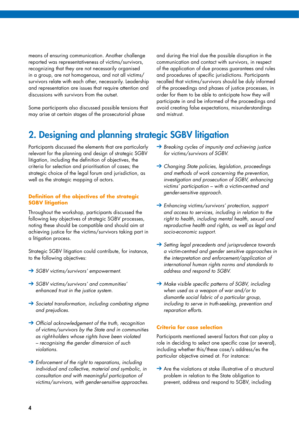means of ensuring communication. Another challenge reported was representativeness of victims/survivors, recognizing that they are not necessarily organised in a group, are not homogenous, and not all victims/ survivors relate with each other, necessarily. Leadership and representation are issues that require attention and discussions with survivors from the outset.

Some participants also discussed possible tensions that may arise at certain stages of the prosecutorial phase

and during the trial due the possible disruption in the communication and contact with survivors, in respect of the application of due process guarantees and rules and procedures of specific jurisdictions. Participants recalled that victims/survivors should be duly informed of the proceedings and phases of justice processes, in order for them to be able to anticipate how they will participate in and be informed of the proceedings and avoid creating false expectations, misunderstandings and mistrust.

### 2. Designing and planning strategic SGBV litigation

Participants discussed the elements that are particularly relevant for the planning and design of strategic SGBV litigation, including the definition of objectives, the criteria for selection and prioritisation of cases; the strategic choice of the legal forum and jurisdiction, as well as the strategic mapping of actors.

#### **Definition of the objectives of the strategic SGBV litigation**

Throughout the workshop, participants discussed the following key objectives of strategic SGBV processes, noting these should be compatible and should aim at achieving justice for the victims/survivors taking part in a litigation process.

Strategic SGBV litigation could contribute, for instance, to the following objectives:

- ➔ *SGBV victims/survivors' empowerment.*
- ➔ *SGBV victims/survivors' and communities' enhanced trust in the justice system.*
- ➔ *Societal transformation, including combating stigma and prejudices.*
- ➔ *Official acknowledgement of the truth, recognition of victims/survivors by the State and in communities as right-holders whose rights have been violated – recognising the gender dimension of such violations.*
- ➔ *Enforcement of the right to reparations, including individual and collective, material and symbolic, in consultation and with meaningful participation of victims/survivors, with gender-sensitive approaches.*
- ➔ *Breaking cycles of impunity and achieving justice for victims/survivors of SGBV.*
- ➔ *Changing State policies, legislation, proceedings and methods of work concerning the prevention, investigation and prosecution of SGBV, enhancing victims' participation – with a victim-centred and gender-sensitive approach.*
- ➔ *Enhancing victims/survivors' protection, support and access to services, including in relation to the right to health, including mental health, sexual and reproductive health and rights, as well as legal and socio-economic support.*
- ➔ *Setting legal precedents and jurisprudence towards a victim-centred and gender sensitive approaches in the interpretation and enforcement/application of international human rights norms and standards to address and respond to SGBV.*
- ➔ *Make visible specific patterns of SGBV, including when used as a weapon of war and/or to dismantle social fabric of a particular group, including to serve in truth-seeking, prevention and reparation efforts.*

#### **Criteria for case selection**

Participants mentioned several factors that can play a role in deciding to select one specific case (or several), including whether this/these case/s address/es the particular objective aimed at. For instance:

→ Are the violations at stake illustrative of a structural problem in relation to the State obligation to prevent, address and respond to SGBV, including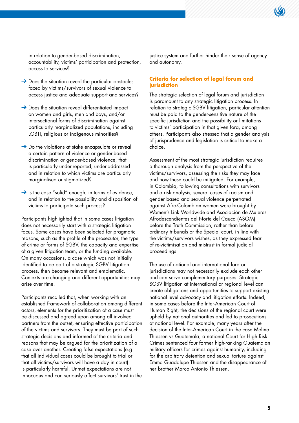

in relation to gender-based discrimination, accountability, victims' participation and protection, access to services?

- $\rightarrow$  Does the situation reveal the particular obstacles faced by victims/survivors of sexual violence to access justice and adequate support and services?
- → Does the situation reveal differentiated impact on women and girls, men and boys, and/or intersectional forms of discrimination against particularly marginalized populations, including LGBTI, religious or indigenous minorities?
- $\rightarrow$  Do the violations at stake encapsulate or reveal a certain pattern of violence or gender-based discrimination or gender-based violence, that is particularly under-reported, under-addressed and in relation to which victims are particularly marginalised or stigmatized?
- → Is the case "solid" enough, in terms of evidence, and in relation to the possibility and disposition of victims to participate such process?

Participants highlighted that in some cases litigation does not necessarily start with a strategic litigation focus. Some cases have been selected for pragmatic reasons, such as the profile of the prosecutor, the type of crime or forms of SGBV, the capacity and expertise of a given litigation team, or the funding available. On many occasions, a case which was not initially identified to be part of a strategic SGBV litigation process, then became relevant and emblematic. Contexts are changing and different opportunities may arise over time.

Participants recalled that, when working with an established framework of collaboration among different actors, elements for the prioritization of a case must be discussed and agreed upon among all involved partners from the outset, ensuring effective participation of the victims and survivors. They must be part of such strategic decisions and informed of the criteria and reasons that may be argued for the prioritization of a case over another. Creating false expectations (e.g. that all individual cases could be brought to trial or that all victims/survivors will have a day in court) is particularly harmful. Unmet expectations are not innocuous and can seriously affect survivors' trust in the justice system and further hinder their sense of agency and autonomy.

### **Criteria for selection of legal forum and jurisdiction**

The strategic selection of legal forum and jurisdiction is paramount to any strategic litigation process. In relation to strategic SGBV litigation, particular attention must be paid to the gender-sensitive nature of the specific jurisdiction and the possibility or limitations to victims' participation in that given fora, among others. Participants also stressed that a gender analysis of jurisprudence and legislation is critical to make a choice.

Assessment of the most strategic jurisdiction requires a thorough analysis from the perspective of the victims/survivors, assessing the risks they may face and how these could be mitigated. For example, in Colombia, following consultations with survivors and a risk analysis, several cases of racism and gender based and sexual violence perpetrated against Afro-Colombian women were brought by Women's Link Worldwide and Asociación de Mujeres Afrodescendientes del Norte del Cauca (ASOM) before the Truth Commission, rather than before ordinary tribunals or the Special court, in line with the victims/survivors wishes, as they expressed fear of re-victimisation and mistrust in formal judicial proceedings.

The use of national and international fora or jurisdictions may not necessarily exclude each other and can serve complementary purposes. Strategic SGBV litigation at international or regional level can create obligations and opportunities to support existing national level advocacy and litigation efforts. Indeed, in some cases before the Inter-American Court of Human Right, the decisions of the regional court were upheld by national authorities and led to prosecutions at national level. For example, many years after the decision of the Inter-American Court in the case Molina Thiessen vs Guatemala, a national Court for High Risk Crimes sentenced four former high-ranking Guatemalan military officers for crimes against humanity, including for the arbitrary detention and sexual torture against Emma Guadalupe Thiessen and the disappearance of her brother Marco Antonio Thiessen.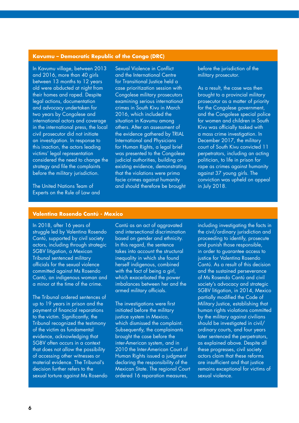#### **Kavumu – Democratic Republic of the Congo (DRC)**

In Kavumu village, between 2013 and 2016, more than 40 girls between 13 months to 12 years old were abducted at night from their homes and raped. Despite legal actions, documentation and advocacy undertaken for two years by Congolese and international actors and coverage in the international press, the local civil prosecutor did not initiate an investigation. In response to this inaction, the actors leading victims' legal representation considered the need to change the strategy and file the complaints before the military jurisdiction.

The United Nations Team of Experts on the Rule of Law and Sexual Violence in Conflict and the International Centre for Transitional Justice held a case prioritization session with Congolese military prosecutors examining serious international crimes in South Kivu in March 2016, which included the situation in Kavumu among others. After an assessment of the evidence gathered by TRIAL International and Physicians for Human Rights, a legal brief was presented to the Congolese judicial authorities, building on existing evidence, demonstrating that the violations were prima facie crimes against humanity and should therefore be brought

before the jurisdiction of the military prosecutor.

As a result, the case was then brought to a provincial military prosecutor as a matter of priority for the Congolese government, and the Congolese special police for women and children in South Kivu was officially tasked with a mass crime investigation. In December 2017, the military court of South Kivu convicted 11 perpetrators, including an acting politician, to life in prison for rape as crimes against humanity against 37 young girls. The conviction was upheld on appeal in July 2018.

### **Valentina Rosendo Cantú - Mexico**

In 2018, after 16 years of struggle led by Valentina Rosendo Cantú, supported by civil society actors, including through strategic SGBV litigation, a Mexican Tribunal sentenced military officials for the sexual violence committed against Ms Rosendo Cantú, an indigenous woman and a minor at the time of the crime.

The Tribunal ordered sentences of up to 19 years in prison and the payment of financial reparations to the victim. Significantly, the Tribunal recognized the testimony of the victim as fundamental evidence, acknowledging that SGBV often occurs in a context that does not allow the possibility of accessing other witnesses or material evidence. The Tribunal's decision further refers to the sexual torture against Ms Rosendo Cantú as an act of aggravated and intersectional discrimination based on gender and ethnicity. In this regard, the sentence takes into account the structural inequality in which she found herself indigenous, combined with the fact of being a girl, which exacerbated the power imbalances between her and the armed military officials.

The investigations were first initiated before the military justice system in Mexico, which dismissed the complaint. Subsequently, the complainants brought the case before the inter-American system, and in 2010 the Inter-American Court of Human Rights issued a judgment declaring the responsibility of the Mexican State. The regional Court ordered 16 reparation measures,

including investigating the facts in the civil/ordinary jurisdiction and proceeding to identify, prosecute and punish those responsible, in order to guarantee access to justice for Valentina Rosendo Cantú. As a result of this decision and the sustained perseverance of Ms Rosendo Cantú and civil society's advocacy and strategic SGBV litigation, in 2014, Mexico partially modified the Code of Military Justice, establishing that human rights violations committed by the military against civilians should be investigated in civil/ ordinary courts, and four years later sentenced the perpetrators, as explained above. Despite all these progresses, civil society actors claim that these reforms are insufficient and that justice remains exceptional for victims of sexual violence.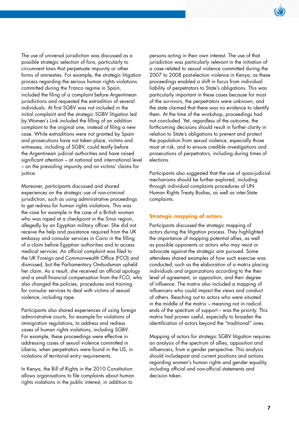

The use of universal jurisdiction was discussed as a possible strategic selection of fora, particularly to circumvent laws that perpetuate impunity or other forms of amnesties. For example, the strategic litigation process regarding the serious human rights violations committed during the Franco regime in Spain, included the filing of a complaint before Argentinean jurisdictions and requested the extradition of several individuals. At first SGBV was not included in the initial complaint and the strategic SGBV litigation led by Women's Link included the filling of an addition complaint to the original one, instead of filing a new case. While extraditions were not granted by Spain and prosecutions have not taken place, victims and witnesses, including of SGBV, could testify before the Argentinean judicial authorities and have raised significant attention – at national and international level – on the prevailing impunity and on victims' claims for justice.

Moreover, participants discussed and shared experiences on the strategic use of non-criminal jurisdiction, such as using administrative proceedings to get redress for human rights violations. This was the case for example in the case of a British woman who was raped at a checkpoint in the Sinai region, allegedly by an Egyptian military officer. She did not receive the help and assistance required from the UK embassy and consular services in Cairo in the filling of a claim before Egyptian authorities and to access medical services. An official complaint was filed to the UK Foreign and Commonwealth Office (FCO) and dismissed, but the Parliamentary Ombudsman upheld her claim. As a result, she received an official apology and a small financial compensation from the FCO, who also changed the policies, procedures and training for consular services to deal with victims of sexual violence, including rape.

Participants also shared experiences of using foreign administrative courts, for example for violations of immigration regulations, to address and redress cases of human rights violations, including SGBV. For example, these proceedings were effective in addressing cases of sexual violence committed in Liberia, when perpetrators were found in the US, in violations of territorial entry requirements.

In Kenya, the Bill of Rights in the 2010 Constitution allows organisations to file complaints about human rights violations in the public interest, in addition to

persons acting in their own interest. The use of that jurisdiction was particularly relevant in the initiation of a case related to sexual violence committed during the 2007 to 2008 post-election violence in Kenya, as these proceedings enabled a shift in focus from individual liability of perpetrators to State's obligations. This was particularly important in these cases because for most of the survivors, the perpetrators were unknown, and the state claimed that there was no evidence to identify them. At the time of the workshop, proceedings had not concluded. Yet, regardless of the outcome, the forthcoming decisions should result in further clarity in relation to State's obligations to prevent and protect the population from sexual violence, especially those most at risk, and to ensure credible investigations and prosecutions of perpetrators, including during times of elections.

Participants also suggested that the use of quasi-judicial mechanisms should be further explored, including through individual complaints procedures of UN Human Rights Treaty Bodies, as well as inter-State complaints.

### **Strategic mapping of actors**

Participants discussed the strategic mapping of actors during the litigation process. They highlighted the importance of mapping potential allies, as well as possible opponents or actors who may resist or advocate against the strategic aim pursued. Some attendees shared examples of how such exercise was conducted, such as the elaboration of a matrix placing individuals and organizations according to the their level of agreement, or opposition, and their degree of influence. The matrix also included a mapping of influencers who could impact the views and conduct of others. Reaching out to actors who were situated in the middle of the matrix – meaning not in radical ends of the spectrum of support -- was the priority. This matrix had proven useful, especially to broaden the identification of actors beyond the "traditional" ones.

Mapping of actors for strategic SGBV litigation requires an analysis of the spectrum of allies, opposition and influencers, from a gender perspective. This analysis should includepast and current positions and actions regarding women's human rights and gender equality, including official and non-official statements and decision taken.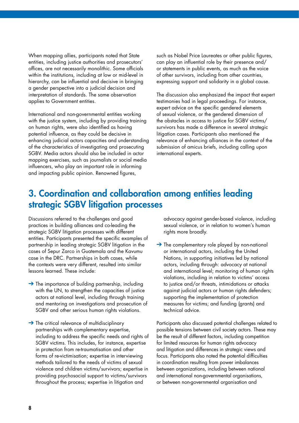When mapping allies, participants noted that State entities, including justice authorities and prosecutors' offices, are not necessarily monolithic. Some officials within the institutions, including at low or mid-level in hierarchy, can be influential and decisive in bringing a gender perspective into a judicial decision and interpretation of standards. The same observation applies to Government entities.

International and non-governmental entities working with the justice system, including by providing training on human rights, were also identified as having potential influence, as they could be decisive in enhancing judicial actors capacities and understanding of the characteristics of investigating and prosecuting SGBV. Media actors should also be included in actor mapping exercises, such as journalists or social media influencers, who play an important role in informing and impacting public opinion. Renowned figures,

such as Nobel Price Laureates or other public figures, can play an influential role by their presence and/ or statements in public events, as much as the voice of other survivors, including from other countries, expressing support and solidarity in a global cause.

The discussion also emphasized the impact that expert testimonies had in legal proceedings. For instance, expert advice on the specific gendered elements of sexual violence, or the gendered dimension of the obstacles in access to justice for SGBV victims/ survivors has made a difference in several strategic litigation cases. Participants also mentioned the relevance of enhancing alliances in the context of the submission of amicus briefs, including calling upon international experts.

### 3. Coordination and collaboration among entities leading strategic SGBV litigation processes

Discussions referred to the challenges and good practices in building alliances and co-leading the strategic SGBV litigation processes with different entities. Participants presented the specific examples of partnership in leading strategic SGBV litigation in the cases of Sepur Zarco in Guatemala and the Kavumu case in the DRC. Partnerships in both cases, while the contexts were very different, resulted into similar lessons learned. These include:

- $\rightarrow$  The importance of building partnership, including with the UN, to strengthen the capacities of justice actors at national level, including through training and mentoring on investigations and prosecution of SGBV and other serious human rights violations.
- → The critical relevance of multidisciplinary partnerships with complementary expertise, including to address the specific needs and rights of SGBV victims. This includes, for instance, expertise in protection from re-traumatisation and other forms of re-victimisation; expertise in interviewing methods tailored to the needs of victims of sexual violence and children victims/survivors; expertise in providing psychosocial support to victims/survivors throughout the process; expertise in litigation and

advocacy against gender-based violence, including sexual violence, or in relation to women's human rights more broadly.

 $\rightarrow$  The complementary role played by non-national or international actors, including the United Nations, in supporting initiatives led by national actors, including through: advocacy at national and international level; monitoring of human rights violations, including in relation to victims' access to justice and/or threats, intimidations or attacks against judicial actors or human rights defenders; supporting the implementation of protection measures for victims; and funding (grants) and technical advice.

Participants also discussed potential challenges related to possible tensions between civil society actors. These may be the result of different factors, including competition for limited resources for human rights advocacy and litigation and differences in strategic views and focus. Participants also noted the potential difficulties in coordination resulting from power imbalances between organizations, including between national and international non-governmental organisations, or between non-governmental organisation and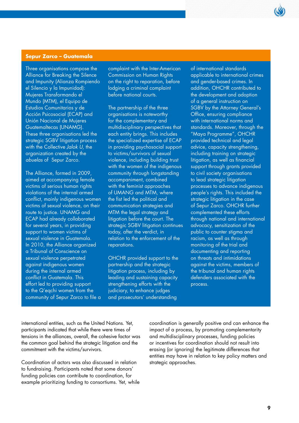#### **Sepur Zarco – Guatemala**

Three organisations compose the Alliance for Breaking the Silence and Impunity (Alianza Rompiendo el Silencio y la Impunidad): Mujeres Transformando el Mundo (MTM), el Equipo de Estudios Comunitarios y de Acción Psicosocial (ECAP) and Unión Nacional de Mujeres Guatemaltecas (UNAMG). These three organisations led the strategic SGBV litigation process with the Collective *Jalok U,* the organization created by the *abuelas* of Sepur Zarco.

The Alliance, formed in 2009, aimed at accompanying female victims of serious human rights violations of the internal armed conflict, mainly indigenous women victims of sexual violence, on their route to justice. UNAMG and ECAP had already collaborated for several years, in providing support to women victims of sexual violence in Guatemala. In 2010, the Alliance organized a Tribunal of Conscience on sexual violence perpetrated against indigenous women during the internal armed conflict in Guatemala. This effort led to providing support to the Q'eqchi women from the community of Sepur Zarco to file a

complaint with the Inter-American Commission on Human Rights on the right to reparation, before lodging a criminal complaint before national courts.

The partnership of the three organisations is noteworthy for the complementary and multidisciplinary perspectives that each entity brings. This includes the specialized expertise of ECAP in providing psychosocial support to victims/survivors of sexual violence, including building trust with the women of the indigenous community through longstanding accompaniment, combined with the feminist approaches of UMANG and MTM, where the fist led the political and communication strategies and MTM the legal strategy and litigation before the court. The strategic SGBV litigation continues today, after the verdict, in relation to the enforcement of the reparations.

OHCHR provided support to the partnership and the strategic litigation process, including by leading and sustaining capacity strengthening efforts with the judiciary, to enhance judges and prosecutors' understanding

of international standards applicable to international crimes and gender-based crimes. In addition, OHCHR contributed to the development and adoption of a general instruction on SGBV by the Attorney General's Office, ensuring compliance with international norms and standards. Moreover, through the "Maya Programme", OHCHR provided technical and legal advice, capacity strengthening, including training on strategic litigation, as well as financial support through grants provided to civil society organisations to lead strategic litigation processes to advance indigenous people's rights. This included the strategic litigation in the case of Sepur Zarco. OHCHR further complemented these efforts through national and international advocacy, sensitization of the public to counter stigma and racism, as well as through monitoring of the trial and documenting and reporting on threats and intimidations against the victims, members of the tribunal and human rights defenders associated with the process.

international entities, such as the United Nations. Yet, participants indicated that while there were times of tensions in the alliances, overall, the cohesive factor was the common goal behind the strategic litigation and the commitment with the victims/survivors.

Coordination of actors was also discussed in relation to fundraising. Participants noted that some donors' funding policies can contribute to coordination, for example prioritizing funding to consortiums. Yet, while coordination is generally positive and can enhance the impact of a process, by promoting complementarity and multidisciplinary processes, funding policies or incentives for coordination should not result into erasing (or ignoring) the legitimate differences that entities may have in relation to key policy matters and strategic approaches.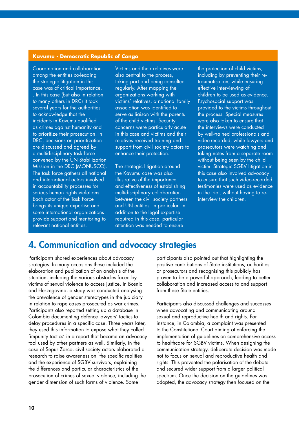#### **Kavumu - Democratic Republic of Congo**

Coordination and collaboration among the entities co-leading the strategic litigation in this case was of critical importance. . In this case (but also in relation to many others in DRC) it took several years for the authorities to acknowledge that the incidents in Kavumu qualified as crimes against humanity and to prioritize their prosecution. In DRC, decisions on prioritization are discussed and agreed by a multidisciplinary task force convened by the UN Stabilization Mission in the DRC (MONUSCO). The task force gathers all national and international actors involved in accountability processes for serious human rights violations. Each actor of the Task Force brings its unique expertise and some international organizations provide support and mentoring to relevant national entities.

Victims and their relatives were also central to the process, taking part and being consulted regularly. After mapping the organizations working with victims' relatives, a national family association was identified to serve as liaison with the parents of the child victims. Security concerns were particularly acute in this case and victims and their relatives received training and support from civil society actors to enhance their protection.

The strategic litigation around the Kavumu case was also illustrative of the importance and effectiveness of establishing multidisciplinary collaboration between the civil society partners and UN entities. In particular, in addition to the legal expertise required in this case, particular attention was needed to ensure

the protection of child victims, including by preventing their retraumatisation, while ensuring effective interviewing of children to be used as evidence. Psychosocial support was provided to the victims throughout the process. Special measures were also taken to ensure that the interviews were conducted by well-trained professionals and video-recorded, while lawyers and prosecutors were watching and taking notes from a separate room without being seen by the child victim. Strategic SGBV litigation in this case also involved advocacy to ensure that such video-recorded testimonies were used as evidence in the trial, without having to reinterview the children.

### 4. Communication and advocacy strategies

Participants shared experiences about advocacy strategies. In many occasions these included the elaboration and publication of an analysis of the situation, including the various obstacles faced by victims of sexual violence to access justice. In Bosnia and Herzegovina, a study was conducted analysing the prevalence of gender stereotypes in the judiciary in relation to rape cases prosecuted as war crimes. Participants also reported setting up a database in Colombia documenting defence lawyers' tactics to delay procedures in a specific case. Three years later, they used this information to expose what they called 'impunity tactics' in a report that became an advocacy tool used by other partners as well. Similarly, in the case of Sepur Zarco, civil society actors elaborated a research to raise awareness on the specific realities and the experience of SGBV survivors, explaining the differences and particular characteristics of the prosecution of crimes of sexual violence, including the gender dimension of such forms of violence. Some

participants also pointed out that highlighting the positive contributions of State institutions, authorities or prosecutors and recognising this publicly has proven to be a powerful approach, leading to better collaboration and increased access to and support from these State entities.

Participants also discussed challenges and successes when advocating and communicating around sexual and reproductive health and rights. For instance, in Colombia, a complaint was presented to the Constitutional Court aiming at enforcing the implementation of guidelines on comprehensive access to healthcare for SGBV victims. When designing the communication strategy, deliberate decision was made not to focus on sexual and reproductive health and rights. This prevented the polarisation of the debate and secured wider support from a larger political spectrum. Once the decision on the guidelines was adopted, the advocacy strategy then focused on the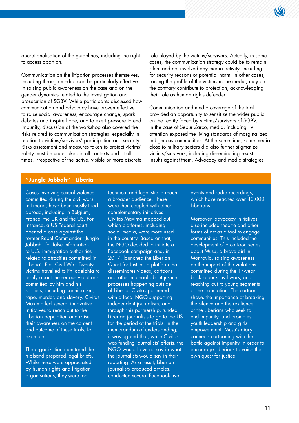

operationalisation of the guidelines, including the right to access abortion.

Communication on the litigation processes themselves, including through media, can be particularly effective in raising public awareness on the case and on the gender dynamics related to the investigation and prosecution of SGBV. While participants discussed how communication and advocacy have proven effective to raise social awareness, encourage change, spark debates and inspire hope, and to exert pressure to end impunity, discussion at the workshop also covered the risks related to communication strategies, especially in relation to victims/survivors' participation and security. Risks assessment and measures taken to protect victims' safety must be undertaken in all contexts and at all times, irrespective of the active, visible or more discrete

role played by the victims/survivors. Actually, in some cases, the communication strategy could be to remain silent and not involved any media activity, including for security reasons or potential harm. In other cases, raising the profile of the victims in the media, may on the contrary contribute to protection, acknowledging their role as human rights defender.

Communication and media coverage of the trial provided an opportunity to sensitize the wider public on the reality faced by victims/survivors of SGBV. In the case of Sepur Zarco, media, including TV attention exposed the living standards of marginalized indigenous communities. At the same time, some media close to military sectors did also further stigmatize victims/survivors, including disseminating sexist insults against them. Advocacy and media strategies

#### **"Jungle Jabbah" - Liberia**

Cases involving sexual violence, committed during the civil wars in Liberia, have been mostly tried abroad, including in Belgium, France, the UK and the US. For instance, a US Federal court opened a case against the former Rebel Commander "Jungle Jabbah" for false information to U.S. immigration authorities related to atrocities committed in Liberia's First Civil War. Twenty victims travelled to Philadelphia to testify about the serious violations committed by him and his soldiers, including cannibalism, rape, murder, and slavery. Civitas Maxima led several innovative initiatives to reach out to the Liberian population and raise their awareness on the content and outcome of these trials, for example:

The organization monitored the trialsand prepared legal briefs. While these were appreciated by human rights and litigation organisations, they were too

technical and legalistic to reach a broader audience. These were then coupled with other complementary initiatives. Civitas Maxima mapped out which platforms, including social media, were more used in the country. Based on that, the NGO decided to initiate a Facebook campaign and, in 2017, launched the Liberian Quest for Justice, a platform that disseminates videos, cartoons and other material about justice processes happening outside of Liberia. Civitas partnered with a local NGO supporting independent journalism, and through this partnership, funded Liberian journalists to go to the US for the period of the trials. In the memorandum of understanding, it was agreed that, while Civitas was funding journalists' efforts, the NGO would have no say in what the journalists would say in their reporting. As a result, Liberian journalists produced articles, conducted several Facebook live

events and radio recordings, which have reached over 40,000 Liberians.

Moreover, advocacy initiatives also included theatre and other forms of art as a tool to engage communities. This included the development of a cartoon series about Musu, a brave girl in Monrovia, raising awareness on the impact of the violations committed during the 14-year back-to-back civil wars, and reaching out to young segments of the population. The cartoon shows the importance of breaking the silence and the resilience of the Liberians who seek to end impunity, and promotes youth leadership and girls' empowerment. Musu's diary connects cartooning with the battle against impunity in order to encourage Liberians to voice their own quest for justice.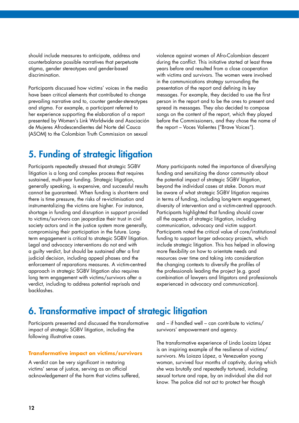should include measures to anticipate, address and counterbalance possible narratives that perpetuate stigma, gender stereotypes and gender-based discrimination.

Participants discussed how victims' voices in the media have been critical elements that contributed to change prevailing narrative and to, counter gender-stereotypes and stigma. For example, a participant referred to her experience supporting the elaboration of a report presented by Women's Link Worldwide and Asociación de Mujeres Afrodescendientes del Norte del Cauca (ASOM) to the Colombian Truth Commission on sexual

violence against women of Afro-Colombian descent during the conflict. This initiative started at least three years before and resulted from a close cooperation with victims and survivors. The women were involved in the communications strategy surrounding the presentation of the report and defining its key messages. For example, they decided to use the first person in the report and to be the ones to present and spread its messages. They also decided to compose songs on the content of the report, which they played before the Commissioners, and they chose the name of the report – Voces Valientes ("Brave Voices").

### 5. Funding of strategic litigation

Participants repeatedly stressed that strategic SGBV litigation is a long and complex process that requires sustained, multi-year funding. Strategic litigation, generally speaking, is expensive, and successful results cannot be guaranteed. When funding is short-term and there is time pressure, the risks of re-victimisation and instrumentalizing the victims are higher. For instance, shortage in funding and disruption in support provided to victims/survivors can jeopardize their trust in civil society actors and in the justice system more generally, compromising their participation in the future. Longterm engagement is critical to strategic SGBV litigation. Legal and advocacy interventions do not end with a guilty verdict, but should be sustained after a first judicial decision, including appeal phases and the enforcement of reparations measures. A victim-centred approach in strategic SGBV litigation also requires long term engagement with victims/survivors after a verdict, including to address potential reprisals and backlashes.

Many participants noted the importance of diversifying funding and sensitizing the donor community about the potential impact of strategic SGBV litigation, beyond the individual cases at stake. Donors must be aware of what strategic SGBV litigation requires in terms of funding, including long-term engagement, diversity of intervention and a victim-centred approach. Participants highlighted that funding should cover all the aspects of strategic litigation, including communication, advocacy and victim support. Participants noted the critical value of core/institutional funding to support larger advocacy projects, which include strategic litigation. This has helped in allowing more flexibility on how to orientate needs and resources over time and taking into consideration the changing contexts to diversify the profiles of the professionals leading the project (e.g. good combination of lawyers and litigators and professionals experienced in advocacy and communication).

### 6. Transformative impact of strategic litigation

Participants presented and discussed the transformative impact of strategic SGBV litigation, including the following illustrative cases.

### **Transformative impact on victims/survivors**

A verdict can be very significant in restoring victims' sense of justice, serving as an official acknowledgement of the harm that victims suffered, and – if handled well – can contribute to victims/ survivors' empowerment and agency.

The transformative experience of Linda Loaiza López is an inspiring example of the resilience of victims/ survivors. Ms Loiaza López, a Venezuelan young woman, survived four months of captivity, during which she was brutally and repeatedly tortured, including sexual torture and rape, by an individual she did not know. The police did not act to protect her though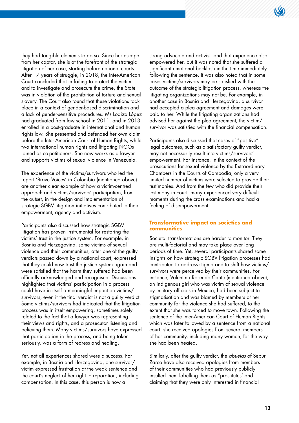

they had tangible elements to do so. Since her escape from her captor, she is at the forefront of the strategic litigation of her case, starting before national courts. After 17 years of struggle, in 2018, the Inter-American Court concluded that in failing to protect the victim and to investigate and prosecute the crime, the State was in violation of the prohibition of torture and sexual slavery. The Court also found that these violations took place in a context of gender-based discrimination and a lack of gender-sensitive procedures. Ms Loaiza López had graduated from law school in 2011, and in 2013 enrolled in a post-graduate in international and human rights law. She presented and defended her own claim before the Inter-American Court of Human Rights, while two international human rights and litigating NGOs joined as co-petitioners. She now works as a lawyer and supports victims of sexual violence in Venezuela.

The experience of the victims/survivors who led the report 'Brave Voices' in Colombia (mentioned above) are another clear example of how a victim-centred approach and victims/survivors' participation, from the outset, in the design and implementation of strategic SGBV litigation initiatives contributed to their empowerment, agency and activism.

Participants also discussed how strategic SGBV litigation has proven instrumental for restoring the victims' trust in the justice system. For example, in Bosnia and Herzegovina, some victims of sexual violence and their communities, after one of the guilty verdicts passed down by a national court, expressed that they could now trust the justice system again and were satisfied that the harm they suffered had been officially acknowledged and recognised. Discussions highlighted that victims' participation in a process could have in itself a meaningful impact on victims/ survivors, even if the final verdict is not a guilty verdict. Some victims/survivors had indicated that the litigation process was in itself empowering, sometimes solely related to the fact that a lawyer was representing their views and rights, and a prosecutor listening and believing them. Many victims/survivors have expressed that participation in the process, and being taken seriously, was a form of redress and healing.

Yet, not all experiences shared were a success. For example, in Bosnia and Herzegovina, one survivor/ victim expressed frustration at the weak sentence and the court's neglect of her right to reparation, including compensation. In this case, this person is now a

strong advocate and activist, and that experience also empowered her, but it was noted that she suffered a significant emotional backlash in the time immediately following the sentence. It was also noted that in some cases victims/survivors may be satisfied with the outcome of the strategic litigation process, whereas the litigating organizations may not be. For example, in another case in Bosnia and Herzegovina, a survivor had accepted a plea agreement and damages were paid to her. While the litigating organizations had advised her against the plea agreement, the victim/ survivor was satisfied with the financial compensation.

Participants also discussed that cases of "positive" legal outcomes, such as a satisfactory guilty verdict, may not necessarily result into victims/survivors' empowerment. For instance, in the context of the prosecutions for sexual violence by the Extraordinary Chambers in the Courts of Cambodia, only a very limited number of victims were selected to provide their testimonies. And from the few who did provide their testimony in court, many experienced very difficult moments during the cross examinations and had a feeling of disempowerment.

#### **Transformative impact on societies and communities**

Societal transformations are harder to monitor. They are multi-factorial and may take place over long periods of time. Yet, several participants shared some insights on how strategic SGBV litigation processes had contributed to address stigma and to shift how victims/ survivors were perceived by their communities. For instance, Valentina Rosendo Cantú (mentioned above), an indigenous girl who was victim of sexual violence by military officials in Mexico, had been subject to stigmatisation and was blamed by members of her community for the violence she had suffered, to the extent that she was forced to move town. Following the sentence of the Inter-American Court of Human Rights, which was later followed by a sentence from a national court, she received apologies from several members of her community, including many women, for the way she had been treated.

Similarly, after the guilty verdict, the *abuelas* of Sepur Zarco have also received apologies from members of their communities who had previously publicly insulted them labelling them as "prostitutes' and claiming that they were only interested in financial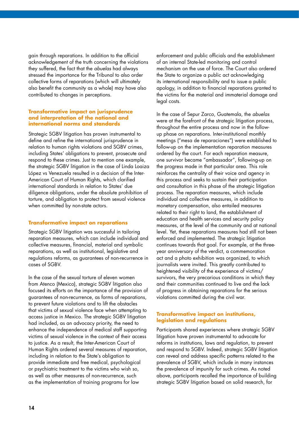gain through reparations. In addition to the official acknowledgement of the truth concerning the violations they suffered, the fact that the *abuelas* had always stressed the importance for the Tribunal to also order collective forms of reparations (which will ultimately also benefit the community as a whole) may have also contributed to changes in perceptions.

#### **Transformative impact on jurisprudence and interpretation of the national and international norms and standards**

Strategic SGBV litigation has proven instrumental to define and refine the international jurisprudence in relation to human rights violations and SGBV crimes, including States' obligations to prevent, prosecute and respond to these crimes. Just to mention one example, the strategic SGBV litigation in the case of Linda Loaiza López vs Venezuela resulted in a decision of the Inter-American Court of Human Rights, which clarified international standards in relation to States' due diligence obligations, under the absolute prohibition of torture, and obligation to protect from sexual violence when committed by non-state actors.

### **Transformative impact on reparations**

Strategic SGBV litigation was successful in tailoring reparation measures, which can include individual and collective measures, financial, material and symbolic reparations, as well as institutional, legislative and regulations reforms, as guarantees of non-recurrence in cases of SGBV.

In the case of the sexual torture of eleven women from Atenco (Mexico), strategic SGBV litigation also focused its efforts on the importance of the provision of guarantees of non-recurrence, as forms of reparations, to prevent future violations and to lift the obstacles that victims of sexual violence face when attempting to access justice in Mexico. The strategic SGBV litigation had included, as an advocacy priority, the need to enhance the independence of medical staff supporting victims of sexual violence in the context of their access to justice. As a result, the Inter-American Court of Human Rights ordered several measures of reparation, including in relation to the State's obligation to provide immediate and free medical, psychological or psychiatric treatment to the victims who wish so, as well as other measures of non-recurrence, such as the implementation of training programs for law

enforcement and public officials and the establishment of an internal State-led monitoring and control mechanism on the use of force. The Court also ordered the State to organize a public act acknowledging its international responsibility and to issue a public apology, in addition to financial reparations granted to the victims for the material and immaterial damage and legal costs.

In the case of Sepur Zarco, Guatemala, the *abuelas* were at the forefront of the strategic litigation process, throughout the entire process and now in the followup phase on reparations. Inter-institutional monthly meetings ("mesa de reparaciones") were established to follow-up on the implementation reparation measures ordered by the court. For each reparation measure, one survivor became "ambassador", following-up on the progress made in that particular area. This role reinforces the centrality of their voice and agency in this process and seeks to sustain their participation and consultation in this phase of the strategic litigation process. The reparation measures, which include individual and collective measures, in addition to monetary compensation, also entailed measures related to their right to land, the establishment of education and health services and security policy measures, at the level of the community and at national level. Yet, these reparations measures had still not been enforced and implemented. The strategic litigation continues towards that goal. For example, at the threeyear anniversary of the verdict, a commemoration act and a photo exhibition was organized, to which journalists were invited. This greatly contributed to heightened visibility of the experience of victims/ survivors, the very precarious conditions in which they and their communities continued to live and the lack of progress in obtaining reparations for the serious violations committed during the civil war.

### **Transformative impact on institutions, legislation and regulations**

Participants shared experiences where strategic SGBV litigation have proven instrumental to advocate for reforms in institutions, laws and regulation, to prevent and respond to SGBV. Indeed, strategic SGBV litigation can reveal and address specific patterns related to the prevalence of SGBV, which include in many instances the prevalence of impunity for such crimes. As noted above, participants recalled the importance of building strategic SGBV litigation based on solid research, for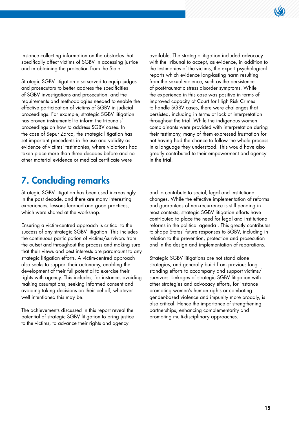instance collecting information on the obstacles that specifically affect victims of SGBV in accessing justice and in obtaining the protection from the State.

Strategic SGBV litigation also served to equip judges and prosecutors to better address the specificities of SGBV investigations and prosecution, and the requirements and methodologies needed to enable the effective participation of victims of SGBV in judicial proceedings. For example, strategic SGBV litigation has proven instrumental to inform the tribunals' proceedings on how to address SGBV cases. In the case of Sepur Zarco, the strategic litigation has set important precedents in the use and validity as evidence of victims' testimonies, where violations had taken place more than three decades before and no other material evidence or medical certificate were

available. The strategic litigation included advocacy with the Tribunal to accept, as evidence, in addition to the testimonies of the victims, the expert psychological reports which evidence long-lasting harm resulting from the sexual violence, such as the persistence of post-traumatic stress disorder symptoms. While the experience in this case was positive in terms of improved capacity of Court for High Risk Crimes to handle SGBV cases, there were challenges that persisted, including in terms of lack of interpretation throughout the trial. While the indigenous women complainants were provided with interpretation during their testimony, many of them expressed frustration for not having had the chance to follow the whole process in a language they understood. This would have also greatly contributed to their empowerment and agency in the trial.

### 7. Concluding remarks

Strategic SGBV litigation has been used increasingly in the past decade, and there are many interesting experiences, lessons learned and good practices, which were shared at the workshop.

Ensuring a victim-centred approach is critical to the success of any strategic SGBV litigation. This includes the continuous participation of victims/survivors from the outset and throughout the process and making sure that their views and best interests are paramount to any strategic litigation efforts. A victim-centred approach also seeks to support their autonomy, enabling the development of their full potential to exercise their rights with agency. This includes, for instance, avoiding making assumptions, seeking informed consent and avoiding taking decisions on their behalf, whatever well intentioned this may be.

The achievements discussed in this report reveal the potential of strategic SGBV litigation to bring justice to the victims, to advance their rights and agency

and to contribute to social, legal and institutional changes. While the effective implementation of reforms and guarantees of non-recurrence is still pending in most contexts, strategic SGBV litigation efforts have contributed to place the need for legal and institutional reforms in the political agenda . This greatly contributes to shape States' future responses to SGBV, including in relation to the prevention, protection and prosecution and in the design and implementation of reparations.

Strategic SGBV litigations are not stand alone strategies, and generally build from previous longstanding efforts to accompany and support victims/ survivors. Linkages of strategic SGBV litigation with other strategies and advocacy efforts, for instance promoting women's human rights or combating gender-based violence and impunity more broadly, is also critical. Hence the importance of strengthening partnerships, enhancing complementarity and promoting multi-disciplinary approaches.